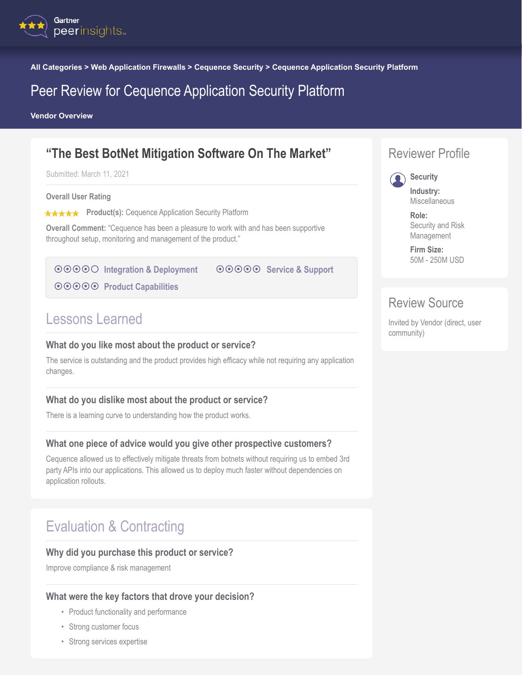

**All Categories > Web Application Firewalls > Cequence Security > Cequence Application Security Platform**

## Peer Review for Cequence Application Security Platform

**Vendor Overview**

## **"The Best BotNet Mitigation Software On The Market"**

Submitted: March 11, 2021

**Overall User Rating**

**★★★★★** Product(s): Cequence Application Security Platform

**Overall Comment:** "Cequence has been a pleasure to work with and has been supportive throughout setup, monitoring and management of the product."

**<b>**⊙⊙⊙⊙ [Integration & Deployment](#page-1-0)

 $\odot$  $\odot$  $\odot$  $\odot$  $\odot$  **[Service & Support](#page-1-0)** 

**<b>◎**◎◎◎ [Product Capabilities](#page-1-0)

## Lessons Learned

#### **What do you like most about the product or service?**

The service is outstanding and the product provides high efficacy while not requiring any application changes.

#### **What do you dislike most about the product or service?**

There is a learning curve to understanding how the product works.

#### **What one piece of advice would you give other prospective customers?**

Cequence allowed us to effectively mitigate threats from botnets without requiring us to embed 3rd party APIs into our applications. This allowed us to deploy much faster without dependencies on application rollouts.

# Evaluation & Contracting

#### **Why did you purchase this product or service?**

Improve compliance & risk management

#### **What were the key factors that drove your decision?**

- Product functionality and performance
- Strong customer focus
- Strong services expertise



#### **Security Industry:** Miscellaneous

**Role:** Security and Risk Management

**Firm Size:** 50M - 250M USD

### Review Source

Invited by Vendor (direct, user community)